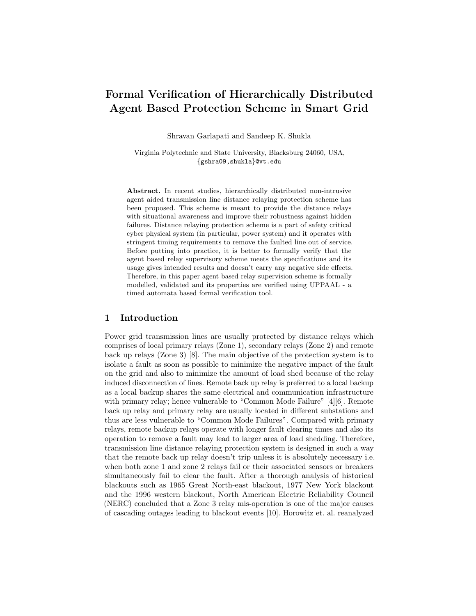# Formal Verification of Hierarchically Distributed Agent Based Protection Scheme in Smart Grid

Shravan Garlapati and Sandeep K. Shukla

Virginia Polytechnic and State University, Blacksburg 24060, USA, {gshra09,shukla}@vt.edu

Abstract. In recent studies, hierarchically distributed non-intrusive agent aided transmission line distance relaying protection scheme has been proposed. This scheme is meant to provide the distance relays with situational awareness and improve their robustness against hidden failures. Distance relaying protection scheme is a part of safety critical cyber physical system (in particular, power system) and it operates with stringent timing requirements to remove the faulted line out of service. Before putting into practice, it is better to formally verify that the agent based relay supervisory scheme meets the specifications and its usage gives intended results and doesn't carry any negative side effects. Therefore, in this paper agent based relay supervision scheme is formally modelled, validated and its properties are verified using UPPAAL - a timed automata based formal verification tool.

### 1 Introduction

Power grid transmission lines are usually protected by distance relays which comprises of local primary relays (Zone 1), secondary relays (Zone 2) and remote back up relays (Zone 3) [8]. The main objective of the protection system is to isolate a fault as soon as possible to minimize the negative impact of the fault on the grid and also to minimize the amount of load shed because of the relay induced disconnection of lines. Remote back up relay is preferred to a local backup as a local backup shares the same electrical and communication infrastructure with primary relay; hence vulnerable to "Common Mode Failure" [4][6]. Remote back up relay and primary relay are usually located in different substations and thus are less vulnerable to "Common Mode Failures". Compared with primary relays, remote backup relays operate with longer fault clearing times and also its operation to remove a fault may lead to larger area of load shedding. Therefore, transmission line distance relaying protection system is designed in such a way that the remote back up relay doesn't trip unless it is absolutely necessary i.e. when both zone 1 and zone 2 relays fail or their associated sensors or breakers simultaneously fail to clear the fault. After a thorough analysis of historical blackouts such as 1965 Great North-east blackout, 1977 New York blackout and the 1996 western blackout, North American Electric Reliability Council (NERC) concluded that a Zone 3 relay mis-operation is one of the major causes of cascading outages leading to blackout events [10]. Horowitz et. al. reanalyzed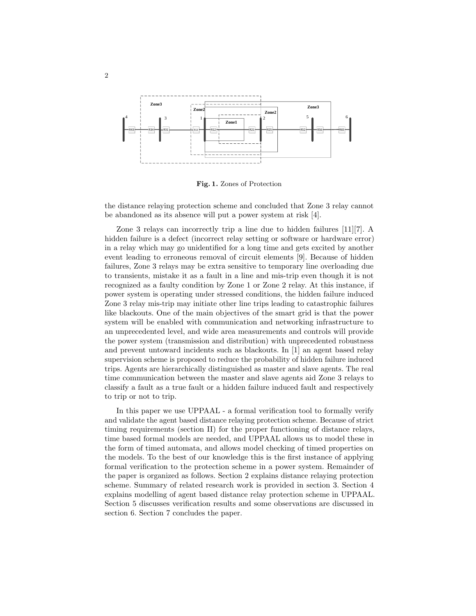

Fig. 1. Zones of Protection

the distance relaying protection scheme and concluded that Zone 3 relay cannot be abandoned as its absence will put a power system at risk [4].

Zone 3 relays can incorrectly trip a line due to hidden failures [11][7]. A hidden failure is a defect (incorrect relay setting or software or hardware error) in a relay which may go unidentified for a long time and gets excited by another event leading to erroneous removal of circuit elements [9]. Because of hidden failures, Zone 3 relays may be extra sensitive to temporary line overloading due to transients, mistake it as a fault in a line and mis-trip even though it is not recognized as a faulty condition by Zone 1 or Zone 2 relay. At this instance, if power system is operating under stressed conditions, the hidden failure induced Zone 3 relay mis-trip may initiate other line trips leading to catastrophic failures like blackouts. One of the main objectives of the smart grid is that the power system will be enabled with communication and networking infrastructure to an unprecedented level, and wide area measurements and controls will provide the power system (transmission and distribution) with unprecedented robustness and prevent untoward incidents such as blackouts. In [1] an agent based relay supervision scheme is proposed to reduce the probability of hidden failure induced trips. Agents are hierarchically distinguished as master and slave agents. The real time communication between the master and slave agents aid Zone 3 relays to classify a fault as a true fault or a hidden failure induced fault and respectively to trip or not to trip.

In this paper we use UPPAAL - a formal verification tool to formally verify and validate the agent based distance relaying protection scheme. Because of strict timing requirements (section II) for the proper functioning of distance relays, time based formal models are needed, and UPPAAL allows us to model these in the form of timed automata, and allows model checking of timed properties on the models. To the best of our knowledge this is the first instance of applying formal verification to the protection scheme in a power system. Remainder of the paper is organized as follows. Section 2 explains distance relaying protection scheme. Summary of related research work is provided in section 3. Section 4 explains modelling of agent based distance relay protection scheme in UPPAAL. Section 5 discusses verification results and some observations are discussed in section 6. Section 7 concludes the paper.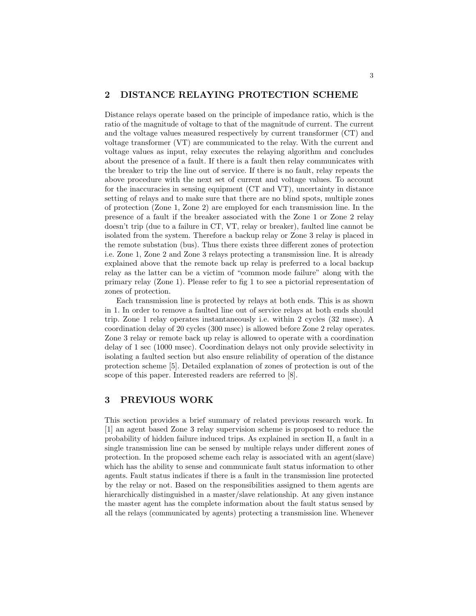# 2 DISTANCE RELAYING PROTECTION SCHEME

Distance relays operate based on the principle of impedance ratio, which is the ratio of the magnitude of voltage to that of the magnitude of current. The current and the voltage values measured respectively by current transformer (CT) and voltage transformer (VT) are communicated to the relay. With the current and voltage values as input, relay executes the relaying algorithm and concludes about the presence of a fault. If there is a fault then relay communicates with the breaker to trip the line out of service. If there is no fault, relay repeats the above procedure with the next set of current and voltage values. To account for the inaccuracies in sensing equipment (CT and VT), uncertainty in distance setting of relays and to make sure that there are no blind spots, multiple zones of protection (Zone 1, Zone 2) are employed for each transmission line. In the presence of a fault if the breaker associated with the Zone 1 or Zone 2 relay doesn't trip (due to a failure in CT, VT, relay or breaker), faulted line cannot be isolated from the system. Therefore a backup relay or Zone 3 relay is placed in the remote substation (bus). Thus there exists three different zones of protection i.e. Zone 1, Zone 2 and Zone 3 relays protecting a transmission line. It is already explained above that the remote back up relay is preferred to a local backup relay as the latter can be a victim of "common mode failure" along with the primary relay (Zone 1). Please refer to fig 1 to see a pictorial representation of zones of protection.

Each transmission line is protected by relays at both ends. This is as shown in 1. In order to remove a faulted line out of service relays at both ends should trip. Zone 1 relay operates instantaneously i.e. within 2 cycles (32 msec). A coordination delay of 20 cycles (300 msec) is allowed before Zone 2 relay operates. Zone 3 relay or remote back up relay is allowed to operate with a coordination delay of 1 sec (1000 msec). Coordination delays not only provide selectivity in isolating a faulted section but also ensure reliability of operation of the distance protection scheme [5]. Detailed explanation of zones of protection is out of the scope of this paper. Interested readers are referred to [8].

# 3 PREVIOUS WORK

This section provides a brief summary of related previous research work. In [1] an agent based Zone 3 relay supervision scheme is proposed to reduce the probability of hidden failure induced trips. As explained in section II, a fault in a single transmission line can be sensed by multiple relays under different zones of protection. In the proposed scheme each relay is associated with an agent(slave) which has the ability to sense and communicate fault status information to other agents. Fault status indicates if there is a fault in the transmission line protected by the relay or not. Based on the responsibilities assigned to them agents are hierarchically distinguished in a master/slave relationship. At any given instance the master agent has the complete information about the fault status sensed by all the relays (communicated by agents) protecting a transmission line. Whenever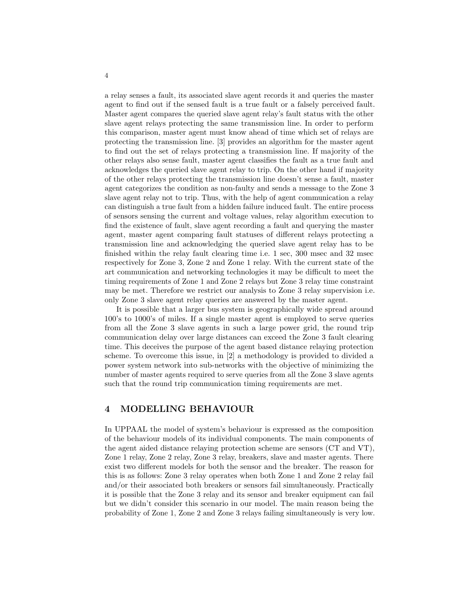a relay senses a fault, its associated slave agent records it and queries the master agent to find out if the sensed fault is a true fault or a falsely perceived fault. Master agent compares the queried slave agent relay's fault status with the other slave agent relays protecting the same transmission line. In order to perform this comparison, master agent must know ahead of time which set of relays are protecting the transmission line. [3] provides an algorithm for the master agent to find out the set of relays protecting a transmission line. If majority of the other relays also sense fault, master agent classifies the fault as a true fault and acknowledges the queried slave agent relay to trip. On the other hand if majority of the other relays protecting the transmission line doesn't sense a fault, master agent categorizes the condition as non-faulty and sends a message to the Zone 3 slave agent relay not to trip. Thus, with the help of agent communication a relay can distinguish a true fault from a hidden failure induced fault. The entire process of sensors sensing the current and voltage values, relay algorithm execution to find the existence of fault, slave agent recording a fault and querying the master agent, master agent comparing fault statuses of different relays protecting a transmission line and acknowledging the queried slave agent relay has to be finished within the relay fault clearing time i.e. 1 sec, 300 msec and 32 msec respectively for Zone 3, Zone 2 and Zone 1 relay. With the current state of the art communication and networking technologies it may be difficult to meet the timing requirements of Zone 1 and Zone 2 relays but Zone 3 relay time constraint may be met. Therefore we restrict our analysis to Zone 3 relay supervision i.e. only Zone 3 slave agent relay queries are answered by the master agent.

It is possible that a larger bus system is geographically wide spread around 100's to 1000's of miles. If a single master agent is employed to serve queries from all the Zone 3 slave agents in such a large power grid, the round trip communication delay over large distances can exceed the Zone 3 fault clearing time. This deceives the purpose of the agent based distance relaying protection scheme. To overcome this issue, in [2] a methodology is provided to divided a power system network into sub-networks with the objective of minimizing the number of master agents required to serve queries from all the Zone 3 slave agents such that the round trip communication timing requirements are met.

# 4 MODELLING BEHAVIOUR

In UPPAAL the model of system's behaviour is expressed as the composition of the behaviour models of its individual components. The main components of the agent aided distance relaying protection scheme are sensors (CT and VT), Zone 1 relay, Zone 2 relay, Zone 3 relay, breakers, slave and master agents. There exist two different models for both the sensor and the breaker. The reason for this is as follows: Zone 3 relay operates when both Zone 1 and Zone 2 relay fail and/or their associated both breakers or sensors fail simultaneously. Practically it is possible that the Zone 3 relay and its sensor and breaker equipment can fail but we didn't consider this scenario in our model. The main reason being the probability of Zone 1, Zone 2 and Zone 3 relays failing simultaneously is very low.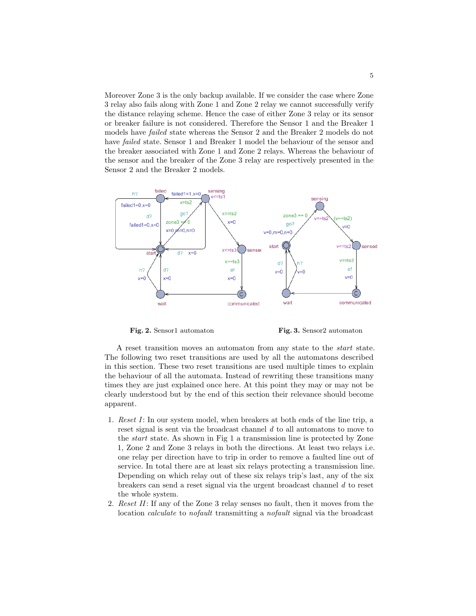Moreover Zone 3 is the only backup available. If we consider the case where Zone 3 relay also fails along with Zone 1 and Zone 2 relay we cannot successfully verify the distance relaying scheme. Hence the case of either Zone 3 relay or its sensor or breaker failure is not considered. Therefore the Sensor 1 and the Breaker 1 models have failed state whereas the Sensor 2 and the Breaker 2 models do not have failed state. Sensor 1 and Breaker 1 model the behaviour of the sensor and the breaker associated with Zone 1 and Zone 2 relays. Whereas the behaviour of the sensor and the breaker of the Zone 3 relay are respectively presented in the Sensor 2 and the Breaker 2 models.



Fig. 2. Sensor1 automaton Fig. 3. Sensor2 automaton

A reset transition moves an automaton from any state to the start state. The following two reset transitions are used by all the automatons described in this section. These two reset transitions are used multiple times to explain the behaviour of all the automata. Instead of rewriting these transitions many times they are just explained once here. At this point they may or may not be clearly understood but by the end of this section their relevance should become apparent.

- 1. Reset I: In our system model, when breakers at both ends of the line trip, a reset signal is sent via the broadcast channel d to all automatons to move to the start state. As shown in Fig 1 a transmission line is protected by Zone 1, Zone 2 and Zone 3 relays in both the directions. At least two relays i.e. one relay per direction have to trip in order to remove a faulted line out of service. In total there are at least six relays protecting a transmission line. Depending on which relay out of these six relays trip's last, any of the six breakers can send a reset signal via the urgent broadcast channel d to reset the whole system.
- 2. Reset II: If any of the Zone 3 relay senses no fault, then it moves from the location calculate to nofault transmitting a nofault signal via the broadcast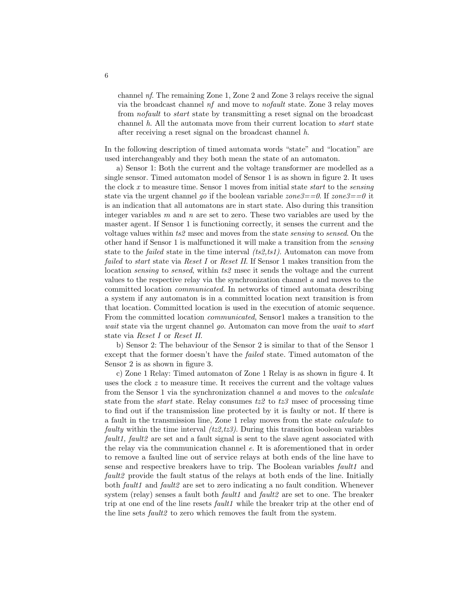channel nf. The remaining Zone 1, Zone 2 and Zone 3 relays receive the signal via the broadcast channel nf and move to nofault state. Zone 3 relay moves from nofault to start state by transmitting a reset signal on the broadcast channel h. All the automata move from their current location to start state after receiving a reset signal on the broadcast channel h.

In the following description of timed automata words "state" and "location" are used interchangeably and they both mean the state of an automaton.

a) Sensor 1: Both the current and the voltage transformer are modelled as a single sensor. Timed automaton model of Sensor 1 is as shown in figure 2. It uses the clock  $x$  to measure time. Sensor 1 moves from initial state start to the sensing state via the urgent channel go if the boolean variable  $zone3 == 0$ . If  $zone3 == 0$  it is an indication that all automatons are in start state. Also during this transition integer variables  $m$  and  $n$  are set to zero. These two variables are used by the master agent. If Sensor 1 is functioning correctly, it senses the current and the voltage values within ts2 msec and moves from the state sensing to sensed. On the other hand if Sensor 1 is malfunctioned it will make a transition from the sensing state to the *failed* state in the time interval  $(ts2, ts1)$ . Automaton can move from failed to start state via Reset I or Reset II. If Sensor 1 makes transition from the location sensing to sensed, within ts2 msec it sends the voltage and the current values to the respective relay via the synchronization channel  $a$  and moves to the committed location communicated. In networks of timed automata describing a system if any automaton is in a committed location next transition is from that location. Committed location is used in the execution of atomic sequence. From the committed location *communicated*, Sensor1 makes a transition to the wait state via the urgent channel go. Automaton can move from the wait to start state via Reset I or Reset II.

b) Sensor 2: The behaviour of the Sensor 2 is similar to that of the Sensor 1 except that the former doesn't have the failed state. Timed automaton of the Sensor 2 is as shown in figure 3.

c) Zone 1 Relay: Timed automaton of Zone 1 Relay is as shown in figure 4. It uses the clock z to measure time. It receives the current and the voltage values from the Sensor 1 via the synchronization channel  $a$  and moves to the *calculate* state from the *start* state. Relay consumes  $tz2$  to  $tz3$  msec of processing time to find out if the transmission line protected by it is faulty or not. If there is a fault in the transmission line, Zone 1 relay moves from the state calculate to faulty within the time interval  $(tz2,tz3)$ . During this transition boolean variables fault1, fault2 are set and a fault signal is sent to the slave agent associated with the relay via the communication channel e. It is aforementioned that in order to remove a faulted line out of service relays at both ends of the line have to sense and respective breakers have to trip. The Boolean variables fault1 and fault<sub>2</sub> provide the fault status of the relays at both ends of the line. Initially both  $fault1$  and  $fault2$  are set to zero indicating a no fault condition. Whenever system (relay) senses a fault both *fault1* and *fault2* are set to one. The breaker trip at one end of the line resets *fault1* while the breaker trip at the other end of the line sets *fault2* to zero which removes the fault from the system.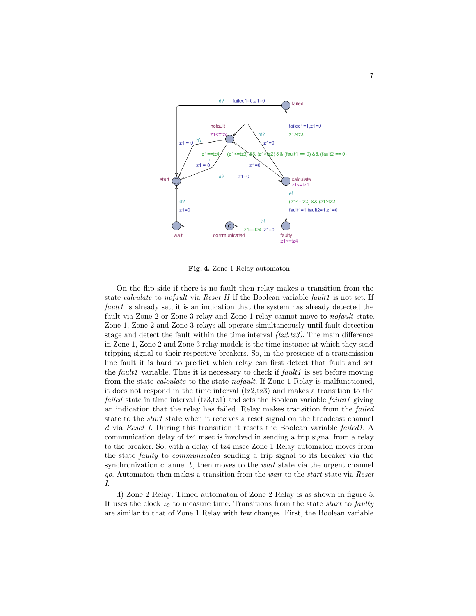

Fig. 4. Zone 1 Relay automaton

On the flip side if there is no fault then relay makes a transition from the state *calculate* to *nofault* via *Reset II* if the Boolean variable *fault1* is not set. If fault1 is already set, it is an indication that the system has already detected the fault via Zone 2 or Zone 3 relay and Zone 1 relay cannot move to nofault state. Zone 1, Zone 2 and Zone 3 relays all operate simultaneously until fault detection stage and detect the fault within the time interval  $(tz2, tz3)$ . The main difference in Zone 1, Zone 2 and Zone 3 relay models is the time instance at which they send tripping signal to their respective breakers. So, in the presence of a transmission line fault it is hard to predict which relay can first detect that fault and set the *fault1* variable. Thus it is necessary to check if *fault1* is set before moving from the state calculate to the state nofault. If Zone 1 Relay is malfunctioned, it does not respond in the time interval  $(tz2, tz3)$  and makes a transition to the failed state in time interval  $(tz3,tz1)$  and sets the Boolean variable failed giving an indication that the relay has failed. Relay makes transition from the failed state to the start state when it receives a reset signal on the broadcast channel d via Reset I. During this transition it resets the Boolean variable failed1. A communication delay of tz4 msec is involved in sending a trip signal from a relay to the breaker. So, with a delay of tz4 msec Zone 1 Relay automaton moves from the state faulty to communicated sending a trip signal to its breaker via the synchronization channel  $b$ , then moves to the *wait* state via the urgent channel go. Automaton then makes a transition from the wait to the start state via Reset I.

d) Zone 2 Relay: Timed automaton of Zone 2 Relay is as shown in figure 5. It uses the clock  $z_2$  to measure time. Transitions from the state start to faulty are similar to that of Zone 1 Relay with few changes. First, the Boolean variable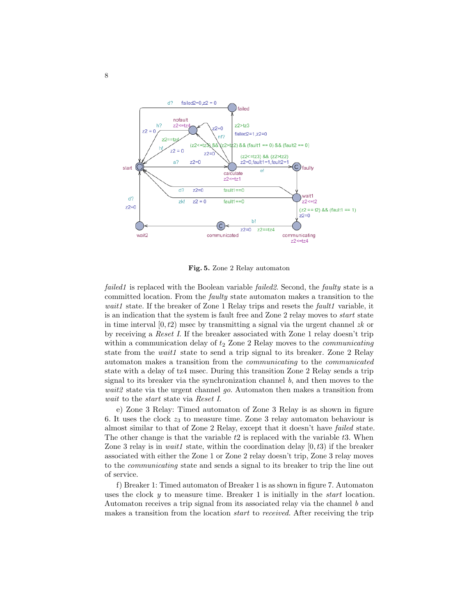

Fig. 5. Zone 2 Relay automaton

failed1 is replaced with the Boolean variable failed2. Second, the faulty state is a committed location. From the faulty state automaton makes a transition to the wait1 state. If the breaker of Zone 1 Relay trips and resets the *fault1* variable, it is an indication that the system is fault free and Zone 2 relay moves to start state in time interval  $[0, t2)$  msec by transmitting a signal via the urgent channel zk or by receiving a Reset I. If the breaker associated with Zone 1 relay doesn't trip within a communication delay of  $t_2$  Zone 2 Relay moves to the *communicating* state from the wait1 state to send a trip signal to its breaker. Zone 2 Relay automaton makes a transition from the communicating to the communicated state with a delay of tz4 msec. During this transition Zone 2 Relay sends a trip signal to its breaker via the synchronization channel  $b$ , and then moves to the wait2 state via the urgent channel go. Automaton then makes a transition from wait to the start state via Reset I.

e) Zone 3 Relay: Timed automaton of Zone 3 Relay is as shown in figure 6. It uses the clock  $z_3$  to measure time. Zone 3 relay automaton behaviour is almost similar to that of Zone 2 Relay, except that it doesn't have failed state. The other change is that the variable  $t2$  is replaced with the variable  $t3$ . When Zone 3 relay is in *wait1* state, within the coordination delay  $[0, t3]$  if the breaker associated with either the Zone 1 or Zone 2 relay doesn't trip, Zone 3 relay moves to the communicating state and sends a signal to its breaker to trip the line out of service.

f) Breaker 1: Timed automaton of Breaker 1 is as shown in figure 7. Automaton uses the clock  $y$  to measure time. Breaker 1 is initially in the *start* location. Automaton receives a trip signal from its associated relay via the channel b and makes a transition from the location *start* to *received*. After receiving the trip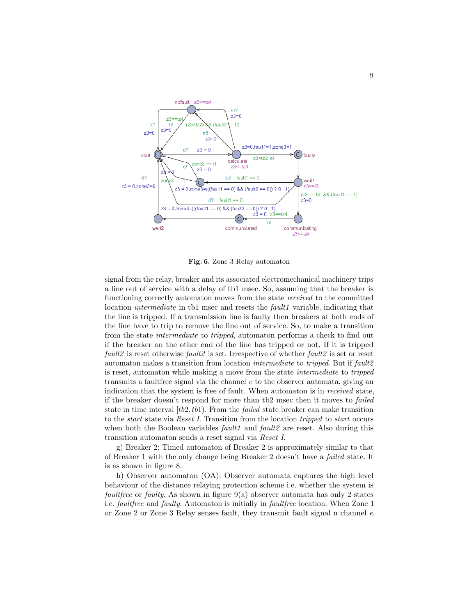

Fig. 6. Zone 3 Relay automaton

signal from the relay, breaker and its associated electromechanical machinery trips a line out of service with a delay of tb1 msec. So, assuming that the breaker is functioning correctly automaton moves from the state received to the committed location *intermediate* in tb1 msec and resets the *fault1* variable, indicating that the line is tripped. If a transmission line is faulty then breakers at both ends of the line have to trip to remove the line out of service. So, to make a transition from the state intermediate to tripped, automaton performs a check to find out if the breaker on the other end of the line has tripped or not. If it is tripped  $fault2$  is reset otherwise  $fault2$  is set. Irrespective of whether  $fault2$  is set or reset automaton makes a transition from location intermediate to tripped. But if fault2 is reset, automaton while making a move from the state intermediate to tripped transmits a fault free signal via the channel  $c$  to the observer automata, giving an indication that the system is free of fault. When automaton is in *received* state, if the breaker doesn't respond for more than tb2 msec then it moves to failed state in time interval  $[tb2, tb1)$ . From the *failed* state breaker can make transition to the start state via Reset I. Transition from the location tripped to start occurs when both the Boolean variables  $fault1$  and  $fault2$  are reset. Also during this transition automaton sends a reset signal via Reset I.

g) Breaker 2: Timed automaton of Breaker 2 is approximately similar to that of Breaker 1 with the only change being Breaker 2 doesn't have a failed state. It is as shown in figure 8.

h) Observer automaton (OA): Observer automata captures the high level behaviour of the distance relaying protection scheme i.e. whether the system is fault free or faulty. As shown in figure  $9(a)$  observer automata has only 2 states i.e. faultfree and faulty. Automaton is initially in faultfree location. When Zone 1 or Zone 2 or Zone 3 Relay senses fault, they transmit fault signal n channel e.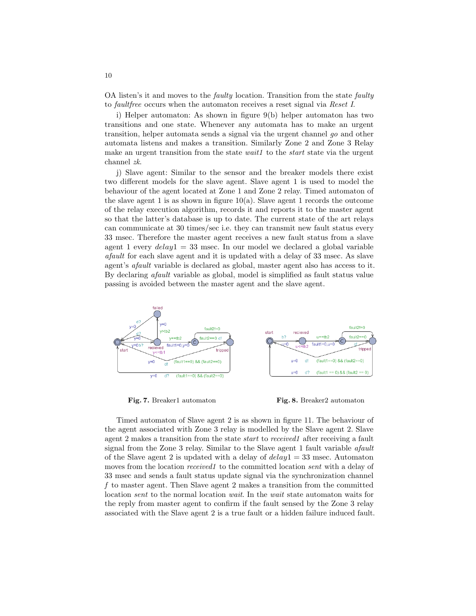OA listen's it and moves to the *faulty* location. Transition from the state *faulty* to faultfree occurs when the automaton receives a reset signal via Reset I.

i) Helper automaton: As shown in figure 9(b) helper automaton has two transitions and one state. Whenever any automata has to make an urgent transition, helper automata sends a signal via the urgent channel go and other automata listens and makes a transition. Similarly Zone 2 and Zone 3 Relay make an urgent transition from the state wait1 to the *start* state via the urgent channel zk.

j) Slave agent: Similar to the sensor and the breaker models there exist two different models for the slave agent. Slave agent 1 is used to model the behaviour of the agent located at Zone 1 and Zone 2 relay. Timed automaton of the slave agent 1 is as shown in figure  $10(a)$ . Slave agent 1 records the outcome of the relay execution algorithm, records it and reports it to the master agent so that the latter's database is up to date. The current state of the art relays can communicate at 30 times/sec i.e. they can transmit new fault status every 33 msec. Therefore the master agent receives a new fault status from a slave agent 1 every  $delay1 = 33$  msec. In our model we declared a global variable afault for each slave agent and it is updated with a delay of 33 msec. As slave agent's afault variable is declared as global, master agent also has access to it. By declaring *afault* variable as global, model is simplified as fault status value passing is avoided between the master agent and the slave agent.



Fig. 7. Breaker1 automaton Fig. 8. Breaker2 automaton

Timed automaton of Slave agent 2 is as shown in figure 11. The behaviour of the agent associated with Zone 3 relay is modelled by the Slave agent 2. Slave agent 2 makes a transition from the state start to received1 after receiving a fault signal from the Zone 3 relay. Similar to the Slave agent 1 fault variable afault of the Slave agent 2 is updated with a delay of  $delay1 = 33$  msec. Automaton moves from the location *received1* to the committed location *sent* with a delay of 33 msec and sends a fault status update signal via the synchronization channel f to master agent. Then Slave agent 2 makes a transition from the committed location sent to the normal location wait. In the wait state automaton waits for the reply from master agent to confirm if the fault sensed by the Zone 3 relay associated with the Slave agent 2 is a true fault or a hidden failure induced fault.

10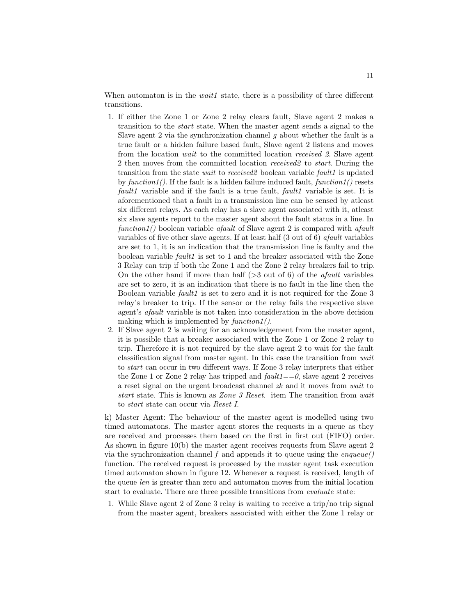When automaton is in the *wait1* state, there is a possibility of three different transitions.

- 1. If either the Zone 1 or Zone 2 relay clears fault, Slave agent 2 makes a transition to the start state. When the master agent sends a signal to the Slave agent 2 via the synchronization channel  $q$  about whether the fault is a true fault or a hidden failure based fault, Slave agent 2 listens and moves from the location wait to the committed location received 2. Slave agent 2 then moves from the committed location received2 to start. During the transition from the state *wait* to received 2 boolean variable fault1 is updated by function1(). If the fault is a hidden failure induced fault, function1() resets fault1 variable and if the fault is a true fault,  $fault1$  variable is set. It is aforementioned that a fault in a transmission line can be sensed by atleast six different relays. As each relay has a slave agent associated with it, atleast six slave agents report to the master agent about the fault status in a line. In function1() boolean variable afault of Slave agent 2 is compared with afault variables of five other slave agents. If at least half (3 out of 6) afault variables are set to 1, it is an indication that the transmission line is faulty and the boolean variable fault1 is set to 1 and the breaker associated with the Zone 3 Relay can trip if both the Zone 1 and the Zone 2 relay breakers fail to trip. On the other hand if more than half  $(>3$  out of 6) of the *afault* variables are set to zero, it is an indication that there is no fault in the line then the Boolean variable fault1 is set to zero and it is not required for the Zone 3 relay's breaker to trip. If the sensor or the relay fails the respective slave agent's afault variable is not taken into consideration in the above decision making which is implemented by  $function1()$ .
- 2. If Slave agent 2 is waiting for an acknowledgement from the master agent, it is possible that a breaker associated with the Zone 1 or Zone 2 relay to trip. Therefore it is not required by the slave agent 2 to wait for the fault classification signal from master agent. In this case the transition from wait to start can occur in two different ways. If Zone 3 relay interprets that either the Zone 1 or Zone 2 relay has tripped and  $fault1 == 0$ , slave agent 2 receives a reset signal on the urgent broadcast channel  $x<sup>k</sup>$  and it moves from wait to start state. This is known as Zone 3 Reset. item The transition from wait to start state can occur via Reset I.

k) Master Agent: The behaviour of the master agent is modelled using two timed automatons. The master agent stores the requests in a queue as they are received and processes them based on the first in first out (FIFO) order. As shown in figure 10(b) the master agent receives requests from Slave agent 2 via the synchronization channel f and appends it to queue using the  $enqueue()$ function. The received request is processed by the master agent task execution timed automaton shown in figure 12. Whenever a request is received, length of the queue len is greater than zero and automaton moves from the initial location start to evaluate. There are three possible transitions from evaluate state:

1. While Slave agent 2 of Zone 3 relay is waiting to receive a trip/no trip signal from the master agent, breakers associated with either the Zone 1 relay or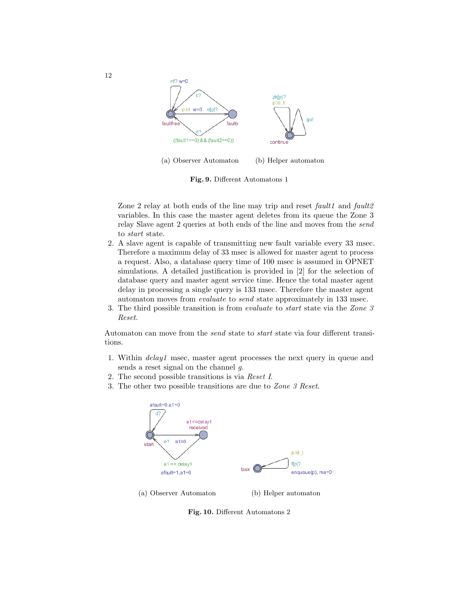

(a) Observer Automaton (b) Helper automaton

Fig. 9. Different Automatons 1

Zone 2 relay at both ends of the line may trip and reset  $fault1$  and  $fault2$ variables. In this case the master agent deletes from its queue the Zone 3 relay Slave agent 2 queries at both ends of the line and moves from the send to start state.

- 2. A slave agent is capable of transmitting new fault variable every 33 msec. Therefore a maximum delay of 33 msec is allowed for master agent to process a request. Also, a database query time of 100 msec is assumed in OPNET simulations. A detailed justification is provided in [2] for the selection of database query and master agent service time. Hence the total master agent delay in processing a single query is 133 msec. Therefore the master agent automaton moves from evaluate to send state approximately in 133 msec.
- 3. The third possible transition is from evaluate to start state via the Zone 3 Reset.

Automaton can move from the *send* state to *start* state via four different transitions.

- 1. Within delay1 msec, master agent processes the next query in queue and sends a reset signal on the channel g.
- 2. The second possible transitions is via Reset I.
- 3. The other two possible transitions are due to Zone 3 Reset.



Fig. 10. Different Automatons 2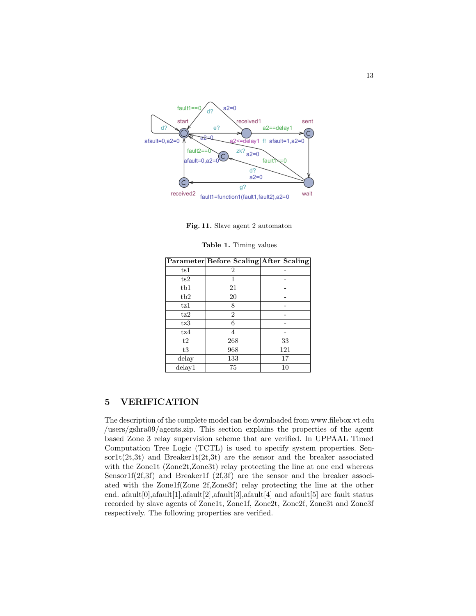

Fig. 11. Slave agent 2 automaton

Table 1. Timing values

|        | Parameter Before Scaling After Scaling |     |
|--------|----------------------------------------|-----|
| ts1    | $\overline{2}$                         |     |
| ts2    | 1                                      |     |
| tb1    | 21                                     |     |
| tb2    | 20                                     |     |
| tz1    | 8                                      |     |
| tz2    | $\overline{2}$                         |     |
| tz3    | 6                                      |     |
| tz4    | 4                                      |     |
| t2     | 268                                    | 33  |
| t3     | 968                                    | 121 |
| delay  | 133                                    | 17  |
| delay1 | 75                                     | 10  |

# 5 VERIFICATION

The description of the complete model can be downloaded from www.filebox.vt.edu /users/gshra09/agents.zip. This section explains the properties of the agent based Zone 3 relay supervision scheme that are verified. In UPPAAL Timed Computation Tree Logic (TCTL) is used to specify system properties. Sensor $1t(2t,3t)$  and Breaker $1t(2t,3t)$  are the sensor and the breaker associated with the Zone1t (Zone2t,Zone3t) relay protecting the line at one end whereas Sensor1f $(2f,3f)$  and Breaker1f  $(2f,3f)$  are the sensor and the breaker associated with the Zone1f(Zone 2f,Zone3f) relay protecting the line at the other end. afault[0],afault[1],afault[2],afault[3],afault[4] and afault[5] are fault status recorded by slave agents of Zone1t, Zone1f, Zone2t, Zone2f, Zone3t and Zone3f respectively. The following properties are verified.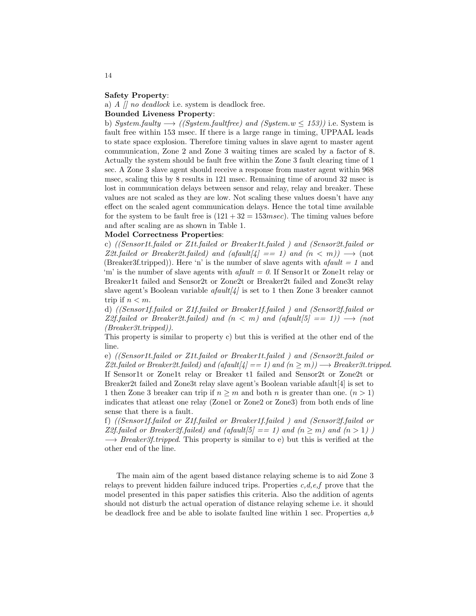#### Safety Property:

a)  $A \parallel no \ deadlock$  i.e. system is deadlock free.

### Bounded Liveness Property:

b) System.faulty  $\longrightarrow$  ((System.faultfree) and (System.w  $\leq$  153)) i.e. System is fault free within 153 msec. If there is a large range in timing, UPPAAL leads to state space explosion. Therefore timing values in slave agent to master agent communication, Zone 2 and Zone 3 waiting times are scaled by a factor of 8. Actually the system should be fault free within the Zone 3 fault clearing time of 1 sec. A Zone 3 slave agent should receive a response from master agent within 968 msec, scaling this by 8 results in 121 msec. Remaining time of around 32 msec is lost in communication delays between sensor and relay, relay and breaker. These values are not scaled as they are low. Not scaling these values doesn't have any effect on the scaled agent communication delays. Hence the total time available for the system to be fault free is  $(121 + 32 = 153$  *msec*). The timing values before and after scaling are as shown in Table 1.

### Model Correctness Properties:

c) ((Sensor1t.failed or Z1t.failed or Breaker1t.failed ) and (Sensor2t.failed or Z2t.failed or Breaker2t.failed) and  $(\alpha \xi) = 1$  and  $(n < m)$   $\rightarrow$  (not (Breaker3f.tripped)). Here 'n' is the number of slave agents with  $a fault = 1$  and 'm' is the number of slave agents with  $a fault = 0$ . If Sensor1t or Zone1t relay or Breaker1t failed and Sensor2t or Zone2t or Breaker2t failed and Zone3t relay slave agent's Boolean variable  $a fault/\mu$  is set to 1 then Zone 3 breaker cannot trip if  $n < m$ .

d) ((Sensor1f.failed or Z1f.failed or Breaker1f.failed ) and (Sensor2f.failed or Z2f.failed or Breaker2t.failed) and  $(n < m)$  and  $(\text{afault}[5] == 1)) \longrightarrow (not$ (Breaker3t.tripped)).

This property is similar to property c) but this is verified at the other end of the line.

e) ((Sensor1t.failed or Z1t.failed or Breaker1t.failed ) and (Sensor2t.failed or Z2t.failed or Breaker2t.failed) and (afault[ $4l$ ] == 1) and ( $n \ge m$ ))  $\rightarrow$  Breaker3t.tripped. If Sensor1t or Zone1t relay or Breaker t1 failed and Sensor2t or Zone2t or Breaker2t failed and Zone3t relay slave agent's Boolean variable afault[4] is set to 1 then Zone 3 breaker can trip if  $n \geq m$  and both n is greater than one.  $(n > 1)$ indicates that atleast one relay (Zone1 or Zone2 or Zone3) from both ends of line sense that there is a fault.

f) ((Sensor1f.failed or Z1f.failed or Breaker1f.failed ) and (Sensor2f.failed or Z2f.failed or Breaker2f.failed) and  $(\text{afault}[5] == 1)$  and  $(n \geq m)$  and  $(n > 1)$ )  $\rightarrow$  Breaker3f.tripped. This property is similar to e) but this is verified at the other end of the line.

The main aim of the agent based distance relaying scheme is to aid Zone 3 relays to prevent hidden failure induced trips. Properties  $c, d, e, f$  prove that the model presented in this paper satisfies this criteria. Also the addition of agents should not disturb the actual operation of distance relaying scheme i.e. it should be deadlock free and be able to isolate faulted line within 1 sec. Properties  $a, b$ 

14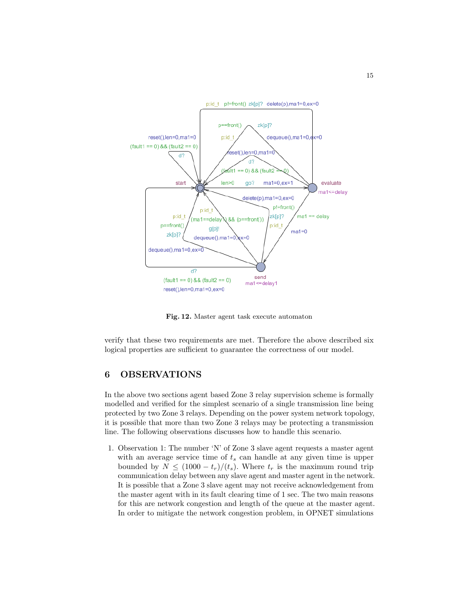

Fig. 12. Master agent task execute automaton

verify that these two requirements are met. Therefore the above described six logical properties are sufficient to guarantee the correctness of our model.

# 6 OBSERVATIONS

In the above two sections agent based Zone 3 relay supervision scheme is formally modelled and verified for the simplest scenario of a single transmission line being protected by two Zone 3 relays. Depending on the power system network topology, it is possible that more than two Zone 3 relays may be protecting a transmission line. The following observations discusses how to handle this scenario.

1. Observation 1: The number 'N' of Zone 3 slave agent requests a master agent with an average service time of  $t_s$  can handle at any given time is upper bounded by  $N \leq (1000 - t_r)/(t_s)$ . Where  $t_r$  is the maximum round trip communication delay between any slave agent and master agent in the network. It is possible that a Zone 3 slave agent may not receive acknowledgement from the master agent with in its fault clearing time of 1 sec. The two main reasons for this are network congestion and length of the queue at the master agent. In order to mitigate the network congestion problem, in OPNET simulations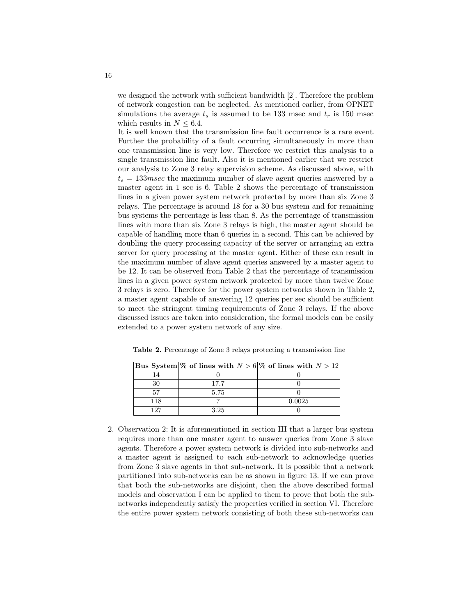we designed the network with sufficient bandwidth [2]. Therefore the problem of network congestion can be neglected. As mentioned earlier, from OPNET simulations the average  $t_s$  is assumed to be 133 msec and  $t_r$  is 150 msec which results in  $N \leq 6.4$ .

It is well known that the transmission line fault occurrence is a rare event. Further the probability of a fault occurring simultaneously in more than one transmission line is very low. Therefore we restrict this analysis to a single transmission line fault. Also it is mentioned earlier that we restrict our analysis to Zone 3 relay supervision scheme. As discussed above, with  $t_s = 133$  msec the maximum number of slave agent queries answered by a master agent in 1 sec is 6. Table 2 shows the percentage of transmission lines in a given power system network protected by more than six Zone 3 relays. The percentage is around 18 for a 30 bus system and for remaining bus systems the percentage is less than 8. As the percentage of transmission lines with more than six Zone 3 relays is high, the master agent should be capable of handling more than 6 queries in a second. This can be achieved by doubling the query processing capacity of the server or arranging an extra server for query processing at the master agent. Either of these can result in the maximum number of slave agent queries answered by a master agent to be 12. It can be observed from Table 2 that the percentage of transmission lines in a given power system network protected by more than twelve Zone 3 relays is zero. Therefore for the power system networks shown in Table 2, a master agent capable of answering 12 queries per sec should be sufficient to meet the stringent timing requirements of Zone 3 relays. If the above discussed issues are taken into consideration, the formal models can be easily extended to a power system network of any size.

|     |      | Bus System $\%$ of lines with $N > 6\%$ of lines with $N > 12$ |
|-----|------|----------------------------------------------------------------|
|     |      |                                                                |
|     | 17.7 |                                                                |
|     | 5.75 |                                                                |
| 118 |      | 0.0025                                                         |
| 197 | 3.25 |                                                                |

Table 2. Percentage of Zone 3 relays protecting a transmission line

2. Observation 2: It is aforementioned in section III that a larger bus system requires more than one master agent to answer queries from Zone 3 slave agents. Therefore a power system network is divided into sub-networks and a master agent is assigned to each sub-network to acknowledge queries from Zone 3 slave agents in that sub-network. It is possible that a network partitioned into sub-networks can be as shown in figure 13. If we can prove that both the sub-networks are disjoint, then the above described formal models and observation I can be applied to them to prove that both the subnetworks independently satisfy the properties verified in section VI. Therefore the entire power system network consisting of both these sub-networks can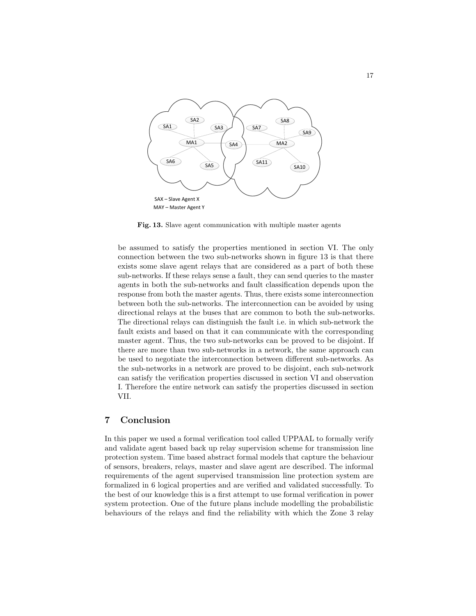

Fig. 13. Slave agent communication with multiple master agents

be assumed to satisfy the properties mentioned in section VI. The only connection between the two sub-networks shown in figure 13 is that there exists some slave agent relays that are considered as a part of both these sub-networks. If these relays sense a fault, they can send queries to the master agents in both the sub-networks and fault classification depends upon the response from both the master agents. Thus, there exists some interconnection between both the sub-networks. The interconnection can be avoided by using directional relays at the buses that are common to both the sub-networks. The directional relays can distinguish the fault i.e. in which sub-network the fault exists and based on that it can communicate with the corresponding master agent. Thus, the two sub-networks can be proved to be disjoint. If there are more than two sub-networks in a network, the same approach can be used to negotiate the interconnection between different sub-networks. As the sub-networks in a network are proved to be disjoint, each sub-network can satisfy the verification properties discussed in section VI and observation I. Therefore the entire network can satisfy the properties discussed in section VII.

# 7 Conclusion

In this paper we used a formal verification tool called UPPAAL to formally verify and validate agent based back up relay supervision scheme for transmission line protection system. Time based abstract formal models that capture the behaviour of sensors, breakers, relays, master and slave agent are described. The informal requirements of the agent supervised transmission line protection system are formalized in 6 logical properties and are verified and validated successfully. To the best of our knowledge this is a first attempt to use formal verification in power system protection. One of the future plans include modelling the probabilistic behaviours of the relays and find the reliability with which the Zone 3 relay